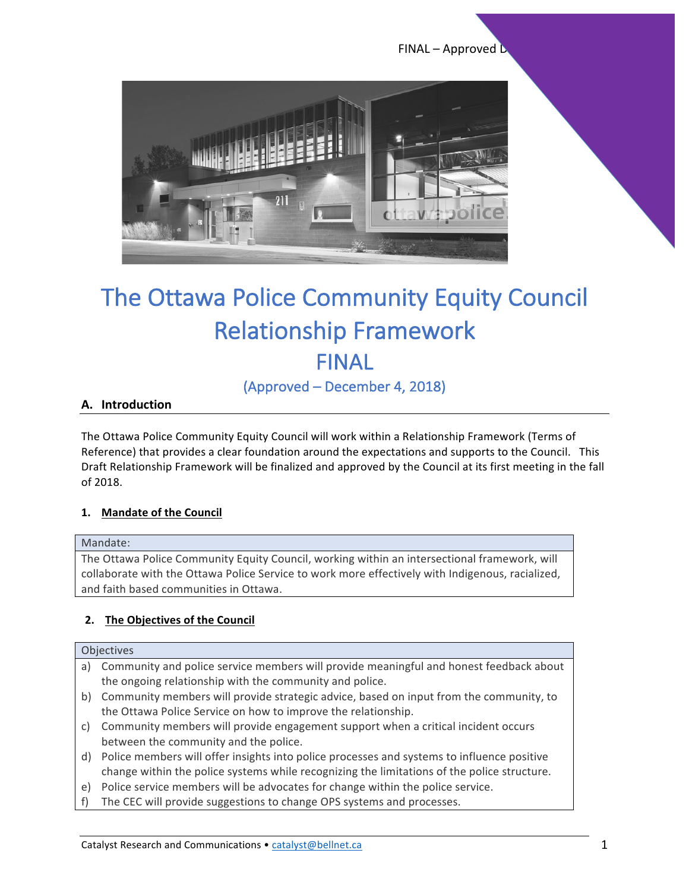$FINAL - Approved L$ 



# The Ottawa Police Community Equity Council **Relationship Framework** FINAL

(Approved – December 4, 2018)

#### **A. Introduction**

The Ottawa Police Community Equity Council will work within a Relationship Framework (Terms of Reference) that provides a clear foundation around the expectations and supports to the Council. This Draft Relationship Framework will be finalized and approved by the Council at its first meeting in the fall of 2018.

#### 1. Mandate of the Council

#### Mandate:

The Ottawa Police Community Equity Council, working within an intersectional framework, will collaborate with the Ottawa Police Service to work more effectively with Indigenous, racialized, and faith based communities in Ottawa.

#### **2.** The Objectives of the Council

#### **Objectives**

- a) Community and police service members will provide meaningful and honest feedback about the ongoing relationship with the community and police.
- b) Community members will provide strategic advice, based on input from the community, to the Ottawa Police Service on how to improve the relationship.
- c) Community members will provide engagement support when a critical incident occurs between the community and the police.
- d) Police members will offer insights into police processes and systems to influence positive change within the police systems while recognizing the limitations of the police structure.
- e) Police service members will be advocates for change within the police service.
- f) The CEC will provide suggestions to change OPS systems and processes.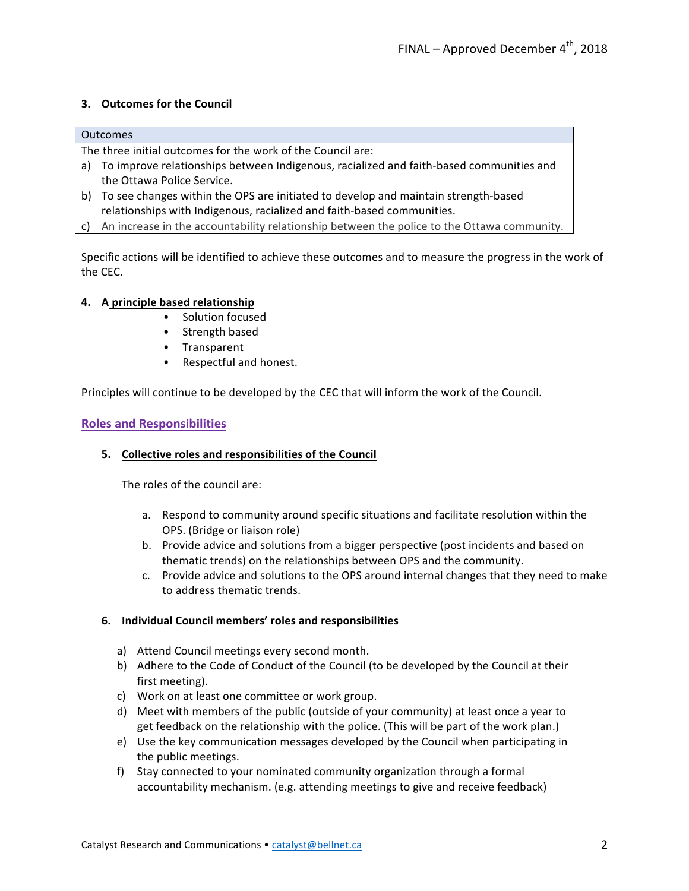#### **3.** Outcomes for the Council

#### Outcomes

The three initial outcomes for the work of the Council are:

- a) To improve relationships between Indigenous, racialized and faith-based communities and the Ottawa Police Service.
- b) To see changes within the OPS are initiated to develop and maintain strength-based relationships with Indigenous, racialized and faith-based communities.
- c) An increase in the accountability relationship between the police to the Ottawa community.

Specific actions will be identified to achieve these outcomes and to measure the progress in the work of the CEC.

#### **4. A principle based relationship**

- Solution focused
- Strength based
- Transparent
- Respectful and honest.

Principles will continue to be developed by the CEC that will inform the work of the Council.

#### **Roles and Responsibilities**

#### **5. Collective roles and responsibilities of the Council**

The roles of the council are:

- a. Respond to community around specific situations and facilitate resolution within the OPS. (Bridge or liaison role)
- b. Provide advice and solutions from a bigger perspective (post incidents and based on thematic trends) on the relationships between OPS and the community.
- c. Provide advice and solutions to the OPS around internal changes that they need to make to address thematic trends.

#### **6. Individual Council members' roles and responsibilities**

- a) Attend Council meetings every second month.
- b) Adhere to the Code of Conduct of the Council (to be developed by the Council at their first meeting).
- c) Work on at least one committee or work group.
- d) Meet with members of the public (outside of your community) at least once a year to get feedback on the relationship with the police. (This will be part of the work plan.)
- e) Use the key communication messages developed by the Council when participating in the public meetings.
- f) Stay connected to your nominated community organization through a formal accountability mechanism. (e.g. attending meetings to give and receive feedback)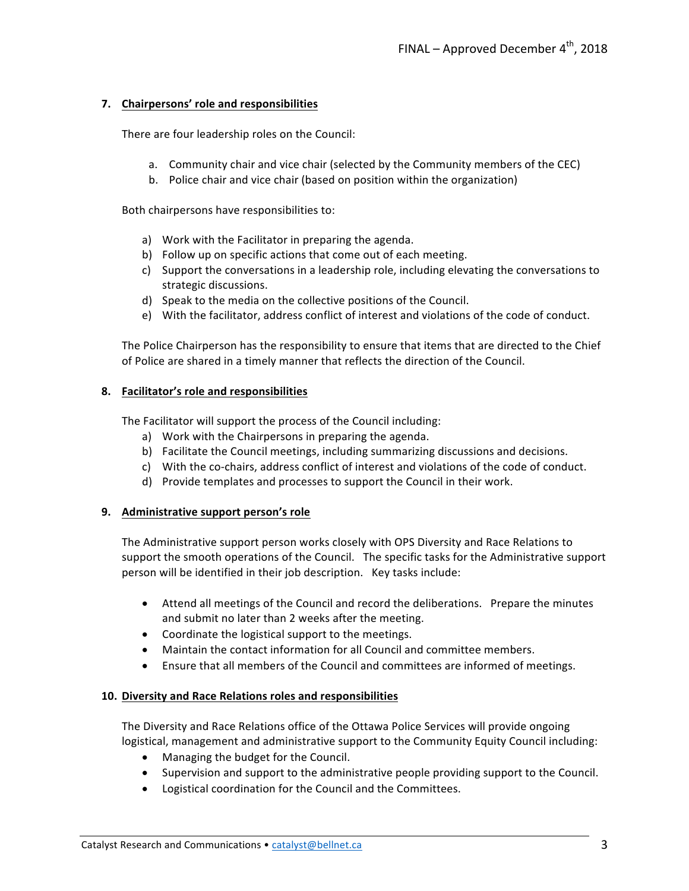#### **7. Chairpersons' role and responsibilities**

There are four leadership roles on the Council:

- a. Community chair and vice chair (selected by the Community members of the CEC)
- b. Police chair and vice chair (based on position within the organization)

Both chairpersons have responsibilities to:

- a) Work with the Facilitator in preparing the agenda.
- b) Follow up on specific actions that come out of each meeting.
- c) Support the conversations in a leadership role, including elevating the conversations to strategic discussions.
- d) Speak to the media on the collective positions of the Council.
- e) With the facilitator, address conflict of interest and violations of the code of conduct.

The Police Chairperson has the responsibility to ensure that items that are directed to the Chief of Police are shared in a timely manner that reflects the direction of the Council.

#### **8.** Facilitator's role and responsibilities

The Facilitator will support the process of the Council including:

- a) Work with the Chairpersons in preparing the agenda.
- b) Facilitate the Council meetings, including summarizing discussions and decisions.
- c) With the co-chairs, address conflict of interest and violations of the code of conduct.
- d) Provide templates and processes to support the Council in their work.

#### **9.** Administrative support person's role

The Administrative support person works closely with OPS Diversity and Race Relations to support the smooth operations of the Council. The specific tasks for the Administrative support person will be identified in their job description. Key tasks include:

- Attend all meetings of the Council and record the deliberations. Prepare the minutes and submit no later than 2 weeks after the meeting.
- Coordinate the logistical support to the meetings.
- Maintain the contact information for all Council and committee members.
- Ensure that all members of the Council and committees are informed of meetings.

#### **10. Diversity and Race Relations roles and responsibilities**

The Diversity and Race Relations office of the Ottawa Police Services will provide ongoing logistical, management and administrative support to the Community Equity Council including:

- Managing the budget for the Council.
- Supervision and support to the administrative people providing support to the Council.
- Logistical coordination for the Council and the Committees.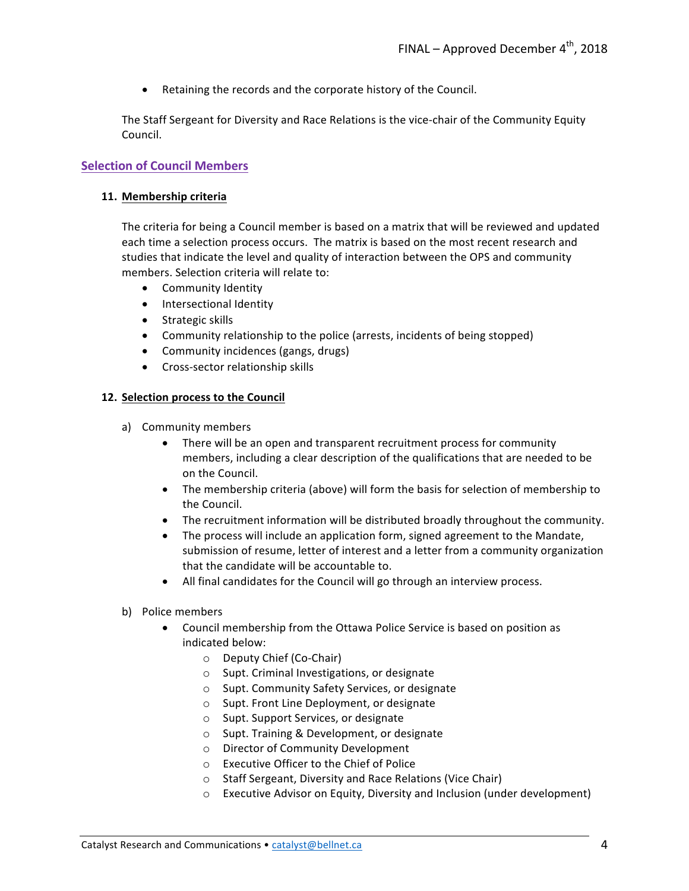• Retaining the records and the corporate history of the Council.

The Staff Sergeant for Diversity and Race Relations is the vice-chair of the Community Equity Council.

#### **Selection of Council Members**

#### **11. Membership criteria**

The criteria for being a Council member is based on a matrix that will be reviewed and updated each time a selection process occurs. The matrix is based on the most recent research and studies that indicate the level and quality of interaction between the OPS and community members. Selection criteria will relate to:

- Community Identity
- Intersectional Identity
- Strategic skills
- Community relationship to the police (arrests, incidents of being stopped)
- Community incidences (gangs, drugs)
- Cross-sector relationship skills

#### 12. Selection process to the Council

- a) Community members
	- There will be an open and transparent recruitment process for community members, including a clear description of the qualifications that are needed to be on the Council.
	- The membership criteria (above) will form the basis for selection of membership to the Council.
	- The recruitment information will be distributed broadly throughout the community.
	- The process will include an application form, signed agreement to the Mandate, submission of resume, letter of interest and a letter from a community organization that the candidate will be accountable to.
	- All final candidates for the Council will go through an interview process.
- b) Police members
	- Council membership from the Ottawa Police Service is based on position as indicated below:
		- o Deputy Chief (Co-Chair)
		- $\circ$  Supt. Criminal Investigations, or designate
		- $\circ$  Supt. Community Safety Services, or designate
		- $\circ$  Supt. Front Line Deployment, or designate
		- o Supt. Support Services, or designate
		- $\circ$  Supt. Training & Development, or designate
		- o Director of Community Development
		- $\circ$  Executive Officer to the Chief of Police
		- $\circ$  Staff Sergeant, Diversity and Race Relations (Vice Chair)
		- $\circ$  Executive Advisor on Equity, Diversity and Inclusion (under development)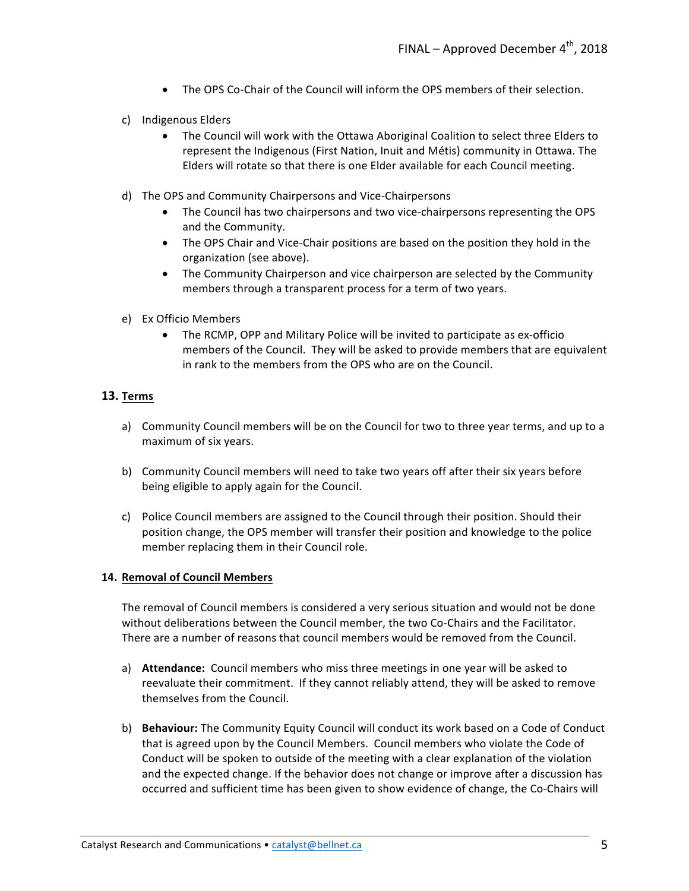- The OPS Co-Chair of the Council will inform the OPS members of their selection.
- c) Indigenous Elders
	- The Council will work with the Ottawa Aboriginal Coalition to select three Elders to represent the Indigenous (First Nation, Inuit and Métis) community in Ottawa. The Elders will rotate so that there is one Elder available for each Council meeting.
- d) The OPS and Community Chairpersons and Vice-Chairpersons
	- The Council has two chairpersons and two vice-chairpersons representing the OPS and the Community.
	- The OPS Chair and Vice-Chair positions are based on the position they hold in the organization (see above).
	- The Community Chairperson and vice chairperson are selected by the Community members through a transparent process for a term of two years.
- e) Ex Officio Members
	- The RCMP, OPP and Military Police will be invited to participate as ex-officio members of the Council. They will be asked to provide members that are equivalent in rank to the members from the OPS who are on the Council.

#### **13. Terms**

- a) Community Council members will be on the Council for two to three year terms, and up to a maximum of six years.
- b) Community Council members will need to take two years off after their six years before being eligible to apply again for the Council.
- c) Police Council members are assigned to the Council through their position. Should their position change, the OPS member will transfer their position and knowledge to the police member replacing them in their Council role.

#### **14. Removal of Council Members**

The removal of Council members is considered a very serious situation and would not be done without deliberations between the Council member, the two Co-Chairs and the Facilitator. There are a number of reasons that council members would be removed from the Council.

- a) **Attendance:** Council members who miss three meetings in one year will be asked to reevaluate their commitment. If they cannot reliably attend, they will be asked to remove themselves from the Council.
- b) **Behaviour:** The Community Equity Council will conduct its work based on a Code of Conduct that is agreed upon by the Council Members. Council members who violate the Code of Conduct will be spoken to outside of the meeting with a clear explanation of the violation and the expected change. If the behavior does not change or improve after a discussion has occurred and sufficient time has been given to show evidence of change, the Co-Chairs will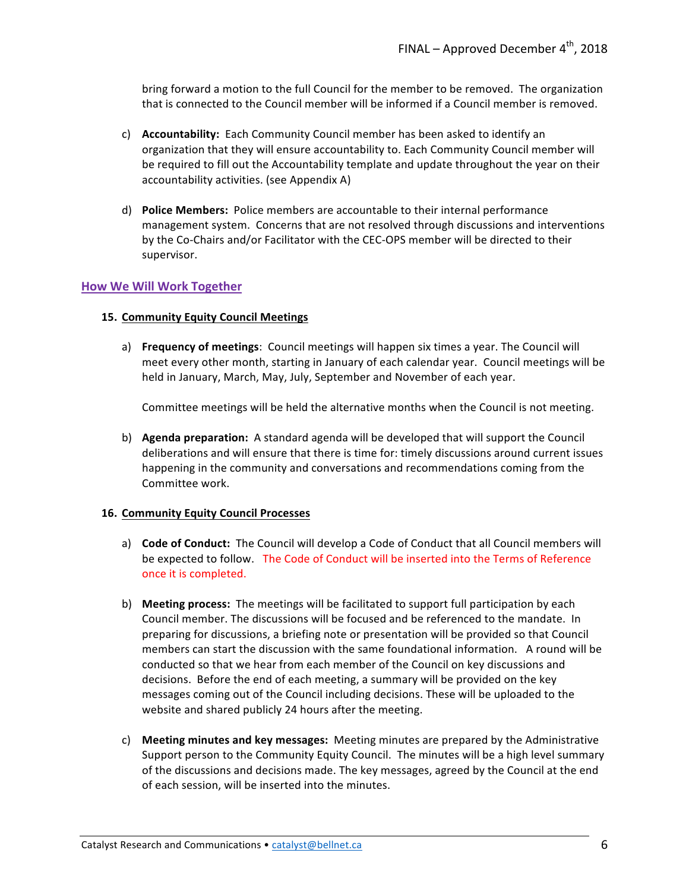bring forward a motion to the full Council for the member to be removed. The organization that is connected to the Council member will be informed if a Council member is removed.

- c) **Accountability:** Each Community Council member has been asked to identify an organization that they will ensure accountability to. Each Community Council member will be required to fill out the Accountability template and update throughout the year on their accountability activities. (see Appendix A)
- d) **Police Members:** Police members are accountable to their internal performance management system. Concerns that are not resolved through discussions and interventions by the Co-Chairs and/or Facilitator with the CEC-OPS member will be directed to their supervisor.

#### **How We Will Work Together**

#### **15. Community Equity Council Meetings**

a) **Frequency of meetings**: Council meetings will happen six times a year. The Council will meet every other month, starting in January of each calendar year. Council meetings will be held in January, March, May, July, September and November of each year.

Committee meetings will be held the alternative months when the Council is not meeting.

b) **Agenda preparation:** A standard agenda will be developed that will support the Council deliberations and will ensure that there is time for: timely discussions around current issues happening in the community and conversations and recommendations coming from the Committee work.

#### **16. Community Equity Council Processes**

- a) **Code of Conduct:** The Council will develop a Code of Conduct that all Council members will be expected to follow. The Code of Conduct will be inserted into the Terms of Reference once it is completed.
- b) **Meeting process:** The meetings will be facilitated to support full participation by each Council member. The discussions will be focused and be referenced to the mandate. In preparing for discussions, a briefing note or presentation will be provided so that Council members can start the discussion with the same foundational information. A round will be conducted so that we hear from each member of the Council on key discussions and decisions. Before the end of each meeting, a summary will be provided on the key messages coming out of the Council including decisions. These will be uploaded to the website and shared publicly 24 hours after the meeting.
- c) **Meeting minutes and key messages:** Meeting minutes are prepared by the Administrative Support person to the Community Equity Council. The minutes will be a high level summary of the discussions and decisions made. The key messages, agreed by the Council at the end of each session, will be inserted into the minutes.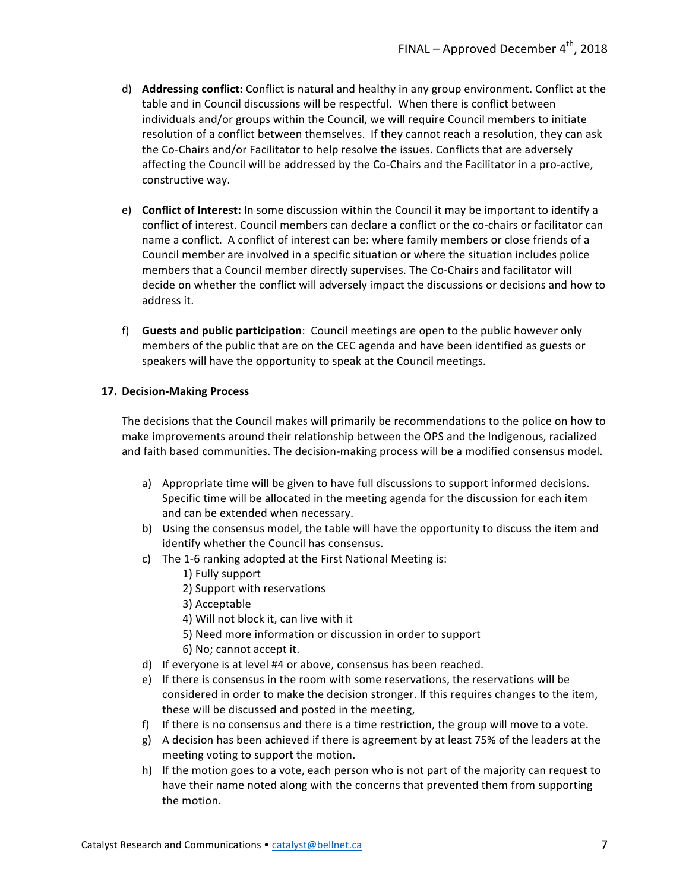- d) **Addressing conflict:** Conflict is natural and healthy in any group environment. Conflict at the table and in Council discussions will be respectful. When there is conflict between individuals and/or groups within the Council, we will require Council members to initiate resolution of a conflict between themselves. If they cannot reach a resolution, they can ask the Co-Chairs and/or Facilitator to help resolve the issues. Conflicts that are adversely affecting the Council will be addressed by the Co-Chairs and the Facilitator in a pro-active, constructive way.
- e) **Conflict of Interest:** In some discussion within the Council it may be important to identify a conflict of interest. Council members can declare a conflict or the co-chairs or facilitator can name a conflict. A conflict of interest can be: where family members or close friends of a Council member are involved in a specific situation or where the situation includes police members that a Council member directly supervises. The Co-Chairs and facilitator will decide on whether the conflict will adversely impact the discussions or decisions and how to address it.
- f) Guests and public participation: Council meetings are open to the public however only members of the public that are on the CEC agenda and have been identified as guests or speakers will have the opportunity to speak at the Council meetings.

#### **17. Decision-Making Process**

The decisions that the Council makes will primarily be recommendations to the police on how to make improvements around their relationship between the OPS and the Indigenous, racialized and faith based communities. The decision-making process will be a modified consensus model.

- a) Appropriate time will be given to have full discussions to support informed decisions. Specific time will be allocated in the meeting agenda for the discussion for each item and can be extended when necessary.
- b) Using the consensus model, the table will have the opportunity to discuss the item and identify whether the Council has consensus.
- c) The 1-6 ranking adopted at the First National Meeting is:
	- 1) Fully support
	- 2) Support with reservations
	- 3) Acceptable
	- 4) Will not block it, can live with it
	- 5) Need more information or discussion in order to support
	- 6) No; cannot accept it.
- d) If everyone is at level #4 or above, consensus has been reached.
- e) If there is consensus in the room with some reservations, the reservations will be considered in order to make the decision stronger. If this requires changes to the item, these will be discussed and posted in the meeting,
- f) If there is no consensus and there is a time restriction, the group will move to a vote.
- g) A decision has been achieved if there is agreement by at least 75% of the leaders at the meeting voting to support the motion.
- h) If the motion goes to a vote, each person who is not part of the majority can request to have their name noted along with the concerns that prevented them from supporting the motion.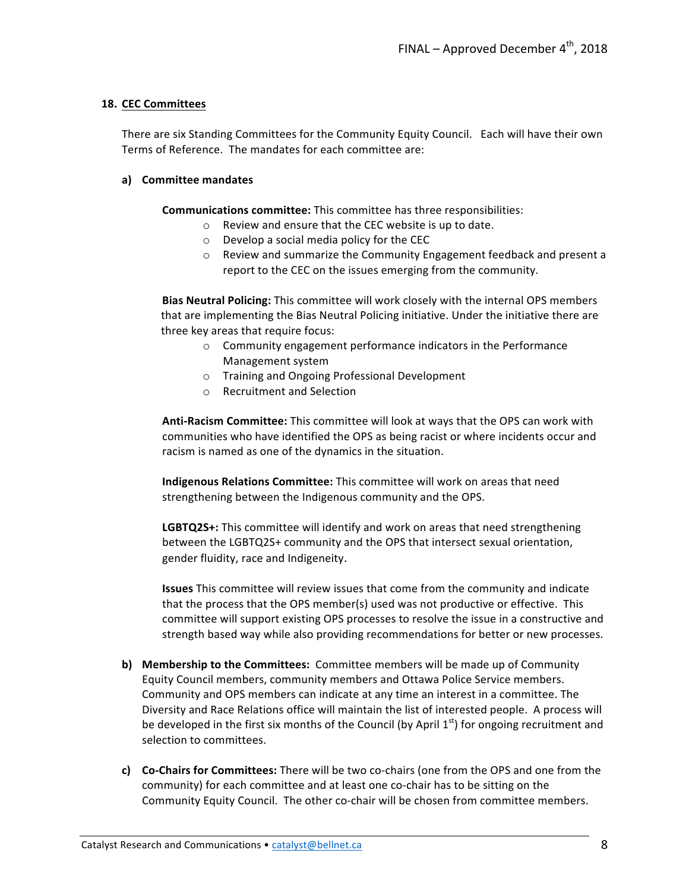#### **18. CEC Committees**

There are six Standing Committees for the Community Equity Council. Each will have their own Terms of Reference. The mandates for each committee are:

#### **a) Committee mandates**

**Communications committee:** This committee has three responsibilities:

- $\circ$  Review and ensure that the CEC website is up to date.
- $\circ$  Develop a social media policy for the CEC
- $\circ$  Review and summarize the Community Engagement feedback and present a report to the CEC on the issues emerging from the community.

**Bias Neutral Policing:** This committee will work closely with the internal OPS members that are implementing the Bias Neutral Policing initiative. Under the initiative there are three key areas that require focus:

- $\circ$  Community engagement performance indicators in the Performance Management system
- o Training and Ongoing Professional Development
- o Recruitment and Selection

**Anti-Racism Committee:** This committee will look at ways that the OPS can work with communities who have identified the OPS as being racist or where incidents occur and racism is named as one of the dynamics in the situation.

**Indigenous Relations Committee:** This committee will work on areas that need strengthening between the Indigenous community and the OPS.

**LGBTQ2S+:** This committee will identify and work on areas that need strengthening between the LGBTQ2S+ community and the OPS that intersect sexual orientation, gender fluidity, race and Indigeneity.

**Issues** This committee will review issues that come from the community and indicate that the process that the OPS member(s) used was not productive or effective. This committee will support existing OPS processes to resolve the issue in a constructive and strength based way while also providing recommendations for better or new processes.

- **b)** Membership to the Committees: Committee members will be made up of Community Equity Council members, community members and Ottawa Police Service members. Community and OPS members can indicate at any time an interest in a committee. The Diversity and Race Relations office will maintain the list of interested people. A process will be developed in the first six months of the Council (by April  $1<sup>st</sup>$ ) for ongoing recruitment and selection to committees.
- **c)** Co-Chairs for Committees: There will be two co-chairs (one from the OPS and one from the community) for each committee and at least one co-chair has to be sitting on the Community Equity Council. The other co-chair will be chosen from committee members.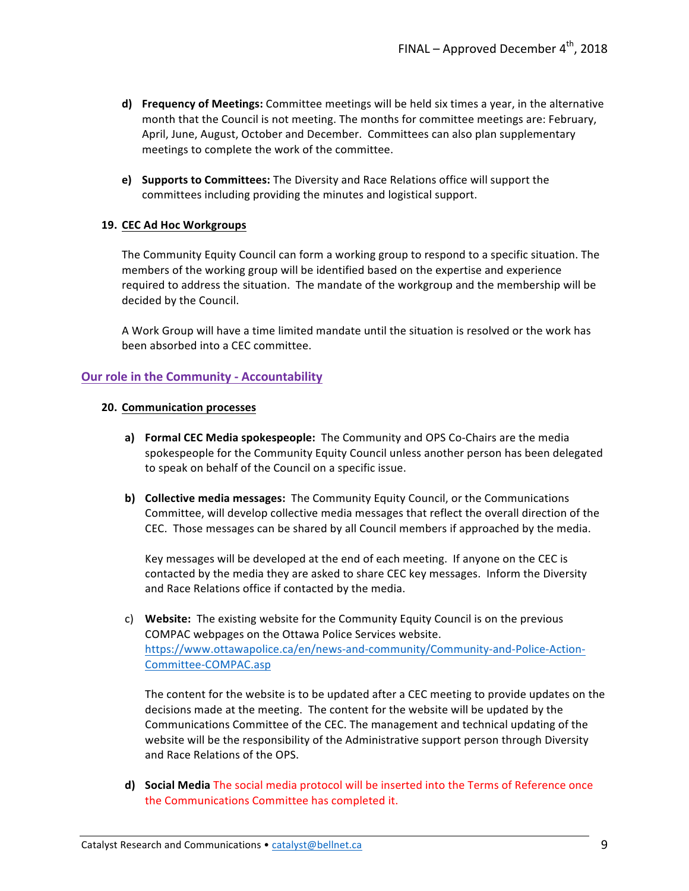- **d)** Frequency of Meetings: Committee meetings will be held six times a year, in the alternative month that the Council is not meeting. The months for committee meetings are: February, April, June, August, October and December. Committees can also plan supplementary meetings to complete the work of the committee.
- **e)** Supports to Committees: The Diversity and Race Relations office will support the committees including providing the minutes and logistical support.

#### 19. **CEC Ad Hoc Workgroups**

The Community Equity Council can form a working group to respond to a specific situation. The members of the working group will be identified based on the expertise and experience required to address the situation. The mandate of the workgroup and the membership will be decided by the Council.

A Work Group will have a time limited mandate until the situation is resolved or the work has been absorbed into a CEC committee.

#### **Our role in the Community - Accountability**

#### **20. Communication processes**

- **a) Formal CEC Media spokespeople:** The Community and OPS Co-Chairs are the media spokespeople for the Community Equity Council unless another person has been delegated to speak on behalf of the Council on a specific issue.
- **b) Collective media messages:** The Community Equity Council, or the Communications Committee, will develop collective media messages that reflect the overall direction of the CEC. Those messages can be shared by all Council members if approached by the media.

Key messages will be developed at the end of each meeting. If anyone on the CEC is contacted by the media they are asked to share CEC key messages. Inform the Diversity and Race Relations office if contacted by the media.

c) Website: The existing website for the Community Equity Council is on the previous COMPAC webpages on the Ottawa Police Services website. https://www.ottawapolice.ca/en/news-and-community/Community-and-Police-Action-Committee-COMPAC.asp

The content for the website is to be updated after a CEC meeting to provide updates on the decisions made at the meeting. The content for the website will be updated by the Communications Committee of the CEC. The management and technical updating of the website will be the responsibility of the Administrative support person through Diversity and Race Relations of the OPS.

**d)** Social Media The social media protocol will be inserted into the Terms of Reference once the Communications Committee has completed it.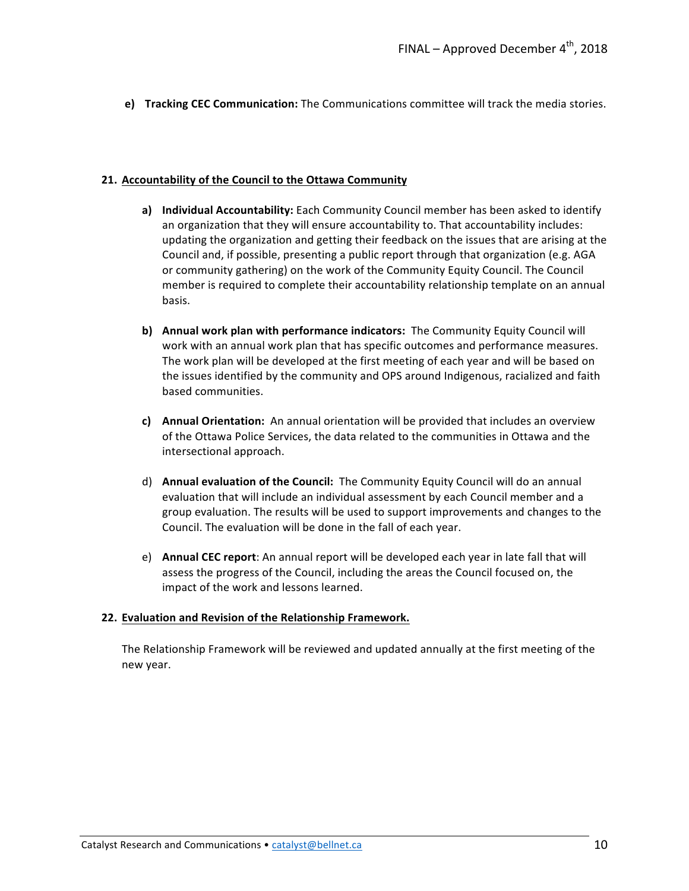**e)** Tracking CEC Communication: The Communications committee will track the media stories.

#### **21. Accountability of the Council to the Ottawa Community**

- **a)** Individual Accountability: Each Community Council member has been asked to identify an organization that they will ensure accountability to. That accountability includes: updating the organization and getting their feedback on the issues that are arising at the Council and, if possible, presenting a public report through that organization (e.g. AGA or community gathering) on the work of the Community Equity Council. The Council member is required to complete their accountability relationship template on an annual basis.
- **b)** Annual work plan with performance indicators: The Community Equity Council will work with an annual work plan that has specific outcomes and performance measures. The work plan will be developed at the first meeting of each year and will be based on the issues identified by the community and OPS around Indigenous, racialized and faith based communities.
- **c)** Annual Orientation: An annual orientation will be provided that includes an overview of the Ottawa Police Services, the data related to the communities in Ottawa and the intersectional approach.
- d) **Annual evaluation of the Council:** The Community Equity Council will do an annual evaluation that will include an individual assessment by each Council member and a group evaluation. The results will be used to support improvements and changes to the Council. The evaluation will be done in the fall of each year.
- e) **Annual CEC report**: An annual report will be developed each year in late fall that will assess the progress of the Council, including the areas the Council focused on, the impact of the work and lessons learned.

#### **22. Evaluation and Revision of the Relationship Framework.**

The Relationship Framework will be reviewed and updated annually at the first meeting of the new year.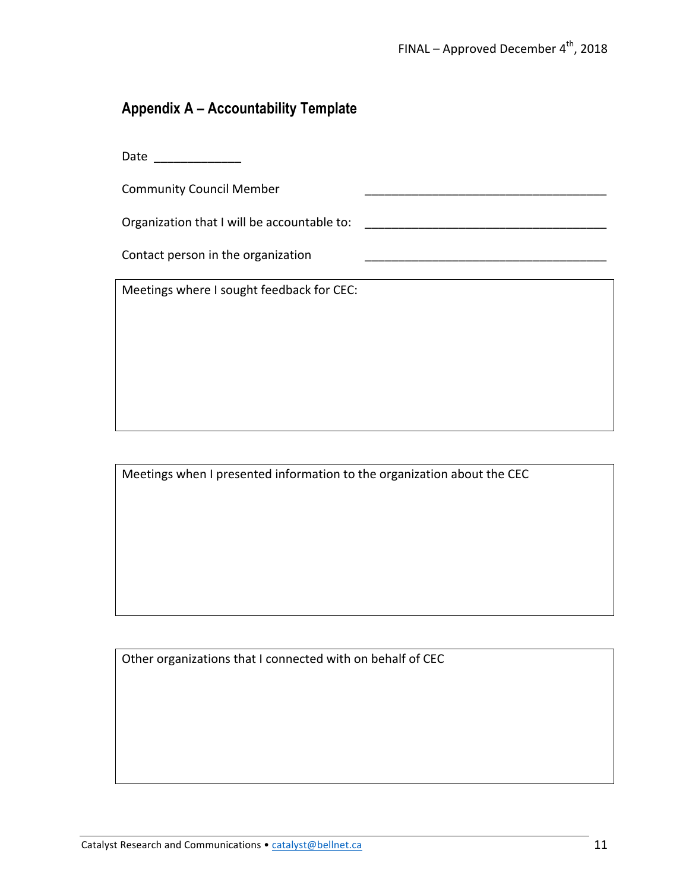## **Appendix A – Accountability Template**

| <b>Community Council Member</b>             |  |
|---------------------------------------------|--|
| Organization that I will be accountable to: |  |
| Contact person in the organization          |  |
| Meetings where I sought feedback for CEC:   |  |
|                                             |  |
|                                             |  |
|                                             |  |
|                                             |  |

|  | Meetings when I presented information to the organization about the CEC |  |
|--|-------------------------------------------------------------------------|--|
|  |                                                                         |  |

Other organizations that I connected with on behalf of CEC